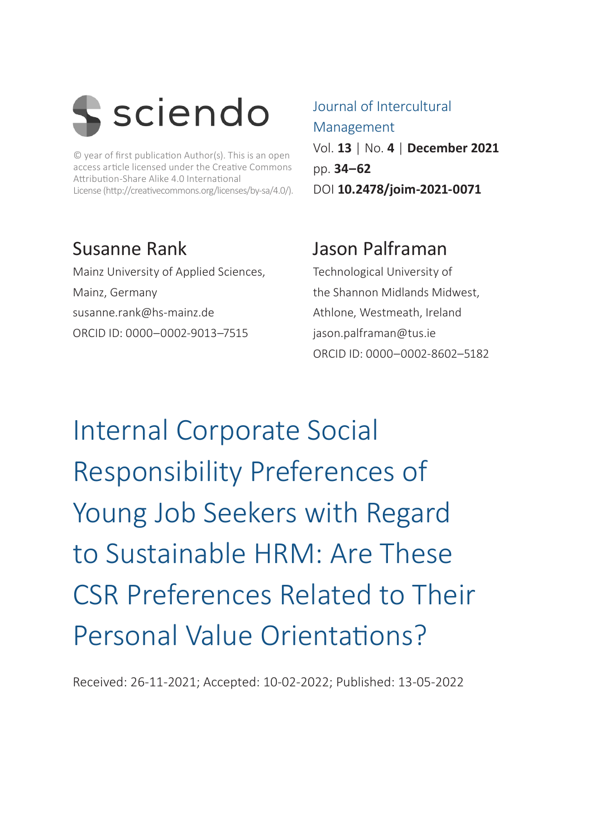

© year of first publication Author(s). This is an open access article licensed under the Creative Commons Attribution-Share Alike 4.0 International License (http://creativecommons.org/licenses/by-sa/4.0/).

#### Susanne Rank

Mainz University of Applied Sciences, Mainz, Germany [susanne.rank@hs-mainz.de](mailto:susanne.rank@hs-mainz.de) ORCID ID: 0000–0002-9013–7515

#### Journal of Intercultural Management Vol. **13** | No. **4** | **December 2021** pp. **34–62** DOI **10.2478/joim-2021-0071**

#### Jason Palframan

Technological University of the Shannon Midlands Midwest, Athlone, Westmeath, Ireland [jason.palframan@tus.ie](mailto:jason.palframan@tus.ie) ORCID ID: 0000–0002-8602–5182

Internal Corporate Social Responsibility Preferences of Young Job Seekers with Regard to Sustainable HRM: Are These CSR Preferences Related to Their Personal Value Orientations?

Received: 26-11-2021; Accepted: 10-02-2022; Published: 13-05-2022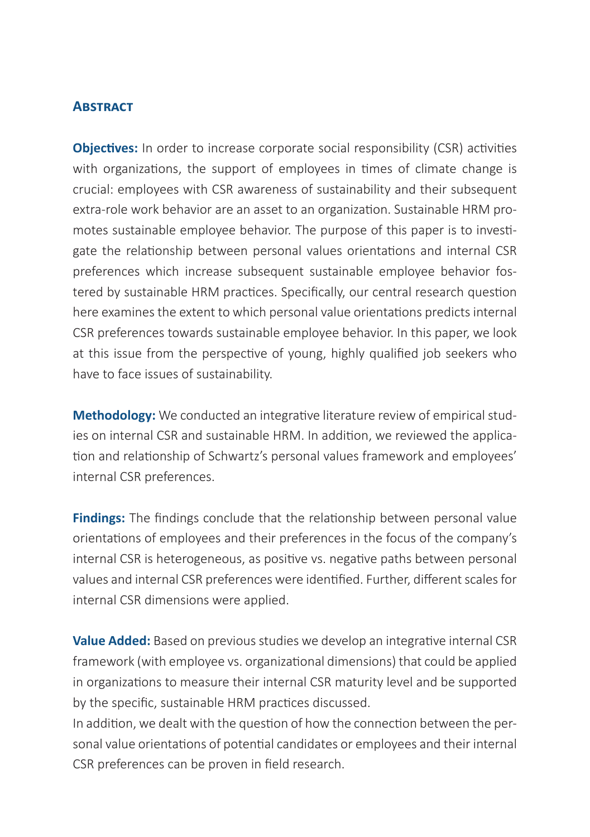#### **ABSTRACT**

**Objectives:** In order to increase corporate social responsibility (CSR) activities with organizations, the support of employees in times of climate change is crucial: employees with CSR awareness of sustainability and their subsequent extra-role work behavior are an asset to an organization. Sustainable HRM promotes sustainable employee behavior. The purpose of this paper is to investigate the relationship between personal values orientations and internal CSR preferences which increase subsequent sustainable employee behavior fostered by sustainable HRM practices. Specifically, our central research question here examines the extent to which personal value orientations predicts internal CSR preferences towards sustainable employee behavior. In this paper, we look at this issue from the perspective of young, highly qualified job seekers who have to face issues of sustainability.

**Methodology:** We conducted an integrative literature review of empirical studies on internal CSR and sustainable HRM. In addition, we reviewed the application and relationship of Schwartz's personal values framework and employees' internal CSR preferences.

**Findings:** The findings conclude that the relationship between personal value orientations of employees and their preferences in the focus of the company's internal CSR is heterogeneous, as positive vs. negative paths between personal values and internal CSR preferences were identified. Further, different scales for internal CSR dimensions were applied.

**Value Added:** Based on previous studies we develop an integrative internal CSR framework (with employee vs. organizational dimensions) that could be applied in organizations to measure their internal CSR maturity level and be supported by the specific, sustainable HRM practices discussed.

In addition, we dealt with the question of how the connection between the personal value orientations of potential candidates or employees and their internal CSR preferences can be proven in field research.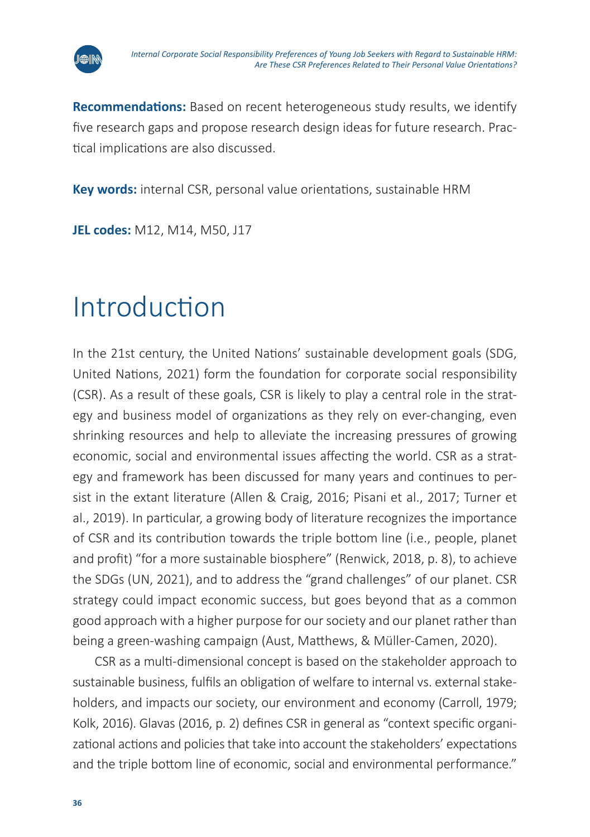

**Recommendations:** Based on recent heterogeneous study results, we identify five research gaps and propose research design ideas for future research. Practical implications are also discussed.

**Key words:** internal CSR, personal value orientations, sustainable HRM

**JEL codes:** M12, M14, M50, J17

# Introduction

In the 21st century, the United Nations' sustainable development goals (SDG, United Nations, 2021) form the foundation for corporate social responsibility (CSR). As a result of these goals, CSR is likely to play a central role in the strategy and business model of organizations as they rely on ever-changing, even shrinking resources and help to alleviate the increasing pressures of growing economic, social and environmental issues affecting the world. CSR as a strategy and framework has been discussed for many years and continues to persist in the extant literature (Allen & Craig, 2016; Pisani et al., 2017; Turner et al., 2019). In particular, a growing body of literature recognizes the importance of CSR and its contribution towards the triple bottom line (i.e., people, planet and profit) "for a more sustainable biosphere" (Renwick, 2018, p. 8), to achieve the SDGs (UN, 2021), and to address the "grand challenges" of our planet. CSR strategy could impact economic success, but goes beyond that as a common good approach with a higher purpose for our society and our planet rather than being a green-washing campaign (Aust, Matthews, & Müller-Camen, 2020).

CSR as a multi-dimensional concept is based on the stakeholder approach to sustainable business, fulfils an obligation of welfare to internal vs. external stakeholders, and impacts our society, our environment and economy (Carroll, 1979; Kolk, 2016). Glavas (2016, p. 2) defines CSR in general as "context specific organizational actions and policies that take into account the stakeholders' expectations and the triple bottom line of economic, social and environmental performance."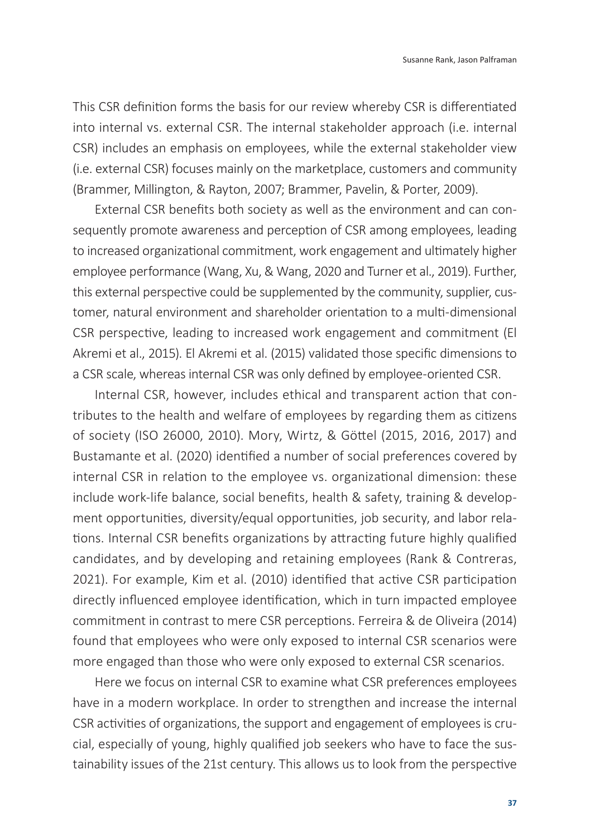This CSR definition forms the basis for our review whereby CSR is differentiated into internal vs. external CSR. The internal stakeholder approach (i.e. internal CSR) includes an emphasis on employees, while the external stakeholder view (i.e. external CSR) focuses mainly on the marketplace, customers and community (Brammer, Millington, & Rayton, 2007; Brammer, Pavelin, & Porter, 2009).

External CSR benefits both society as well as the environment and can consequently promote awareness and perception of CSR among employees, leading to increased organizational commitment, work engagement and ultimately higher employee performance (Wang, Xu, & Wang, 2020 and Turner et al., 2019). Further, this external perspective could be supplemented by the community, supplier, customer, natural environment and shareholder orientation to a multi-dimensional CSR perspective, leading to increased work engagement and commitment (El Akremi et al., 2015). El Akremi et al. (2015) validated those specific dimensions to a CSR scale, whereas internal CSR was only defined by employee-oriented CSR.

Internal CSR, however, includes ethical and transparent action that contributes to the health and welfare of employees by regarding them as citizens of society (ISO 26000, 2010). Mory, Wirtz, & Göttel (2015, 2016, 2017) and Bustamante et al. (2020) identified a number of social preferences covered by internal CSR in relation to the employee vs. organizational dimension: these include work-life balance, social benefits, health & safety, training & development opportunities, diversity/equal opportunities, job security, and labor relations. Internal CSR benefits organizations by attracting future highly qualified candidates, and by developing and retaining employees (Rank & Contreras, 2021). For example, Kim et al. (2010) identified that active CSR participation directly influenced employee identification, which in turn impacted employee commitment in contrast to mere CSR perceptions. Ferreira & de Oliveira (2014) found that employees who were only exposed to internal CSR scenarios were more engaged than those who were only exposed to external CSR scenarios.

Here we focus on internal CSR to examine what CSR preferences employees have in a modern workplace. In order to strengthen and increase the internal CSR activities of organizations, the support and engagement of employees is crucial, especially of young, highly qualified job seekers who have to face the sustainability issues of the 21st century. This allows us to look from the perspective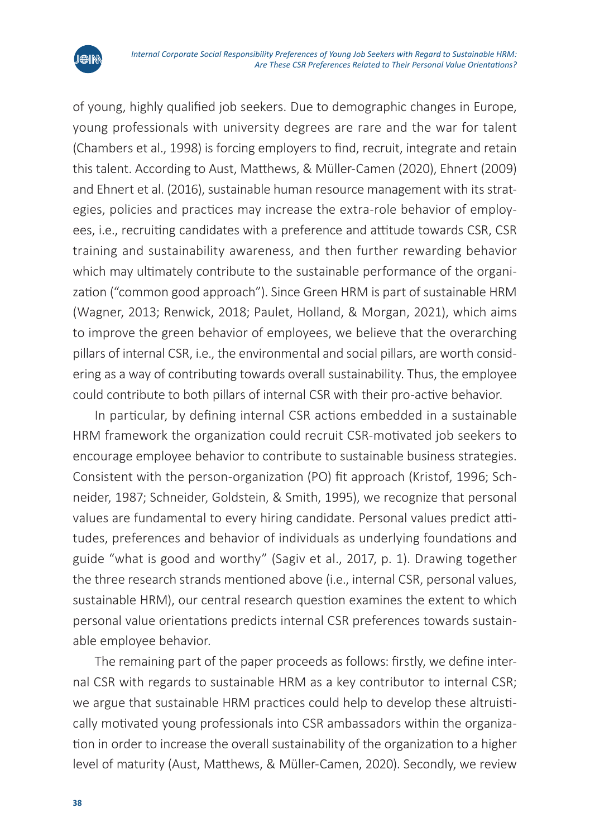

of young, highly qualified job seekers. Due to demographic changes in Europe, young professionals with university degrees are rare and the war for talent (Chambers et al., 1998) is forcing employers to find, recruit, integrate and retain this talent. According to Aust, Matthews, & Müller-Camen (2020), Ehnert (2009) and Ehnert et al. (2016), sustainable human resource management with its strategies, policies and practices may increase the extra-role behavior of employees, i.e., recruiting candidates with a preference and attitude towards CSR, CSR training and sustainability awareness, and then further rewarding behavior which may ultimately contribute to the sustainable performance of the organization ("common good approach"). Since Green HRM is part of sustainable HRM (Wagner, 2013; Renwick, 2018; Paulet, Holland, & Morgan, 2021), which aims to improve the green behavior of employees, we believe that the overarching pillars of internal CSR, i.e., the environmental and social pillars, are worth considering as a way of contributing towards overall sustainability. Thus, the employee could contribute to both pillars of internal CSR with their pro-active behavior.

In particular, by defining internal CSR actions embedded in a sustainable HRM framework the organization could recruit CSR-motivated job seekers to encourage employee behavior to contribute to sustainable business strategies. Consistent with the person-organization (PO) fit approach (Kristof, 1996; Schneider, 1987; Schneider, Goldstein, & Smith, 1995), we recognize that personal values are fundamental to every hiring candidate. Personal values predict attitudes, preferences and behavior of individuals as underlying foundations and guide "what is good and worthy" (Sagiv et al., 2017, p. 1). Drawing together the three research strands mentioned above (i.e., internal CSR, personal values, sustainable HRM), our central research question examines the extent to which personal value orientations predicts internal CSR preferences towards sustainable employee behavior.

The remaining part of the paper proceeds as follows: firstly, we define internal CSR with regards to sustainable HRM as a key contributor to internal CSR; we argue that sustainable HRM practices could help to develop these altruistically motivated young professionals into CSR ambassadors within the organization in order to increase the overall sustainability of the organization to a higher level of maturity (Aust, Matthews, & Müller-Camen, 2020). Secondly, we review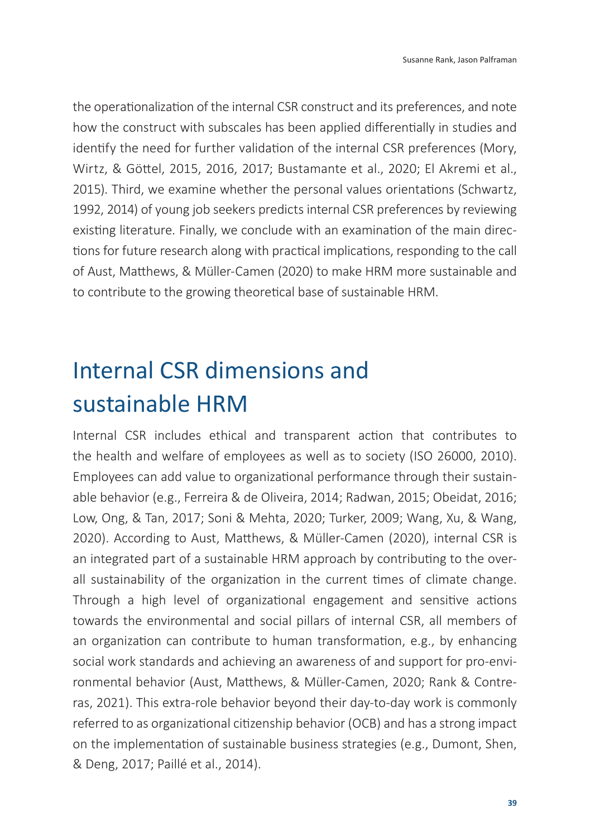the operationalization of the internal CSR construct and its preferences, and note how the construct with subscales has been applied differentially in studies and identify the need for further validation of the internal CSR preferences (Mory, Wirtz, & Göttel, 2015, 2016, 2017; Bustamante et al., 2020; El Akremi et al., 2015). Third, we examine whether the personal values orientations (Schwartz, 1992, 2014) of young job seekers predicts internal CSR preferences by reviewing existing literature. Finally, we conclude with an examination of the main directions for future research along with practical implications, responding to the call of Aust, Matthews, & Müller-Camen (2020) to make HRM more sustainable and to contribute to the growing theoretical base of sustainable HRM.

## Internal CSR dimensions and sustainable HRM

Internal CSR includes ethical and transparent action that contributes to the health and welfare of employees as well as to society (ISO 26000, 2010). Employees can add value to organizational performance through their sustainable behavior (e.g., Ferreira & de Oliveira, 2014; Radwan, 2015; Obeidat, 2016; Low, Ong, & Tan, 2017; Soni & Mehta, 2020; Turker, 2009; Wang, Xu, & Wang, 2020). According to Aust, Matthews, & Müller-Camen (2020), internal CSR is an integrated part of a sustainable HRM approach by contributing to the overall sustainability of the organization in the current times of climate change. Through a high level of organizational engagement and sensitive actions towards the environmental and social pillars of internal CSR, all members of an organization can contribute to human transformation, e.g., by enhancing social work standards and achieving an awareness of and support for pro-environmental behavior (Aust, Matthews, & Müller-Camen, 2020; Rank & Contreras, 2021). This extra-role behavior beyond their day-to-day work is commonly referred to as organizational citizenship behavior (OCB) and has a strong impact on the implementation of sustainable business strategies (e.g., Dumont, Shen, & Deng, 2017; Paillé et al., 2014).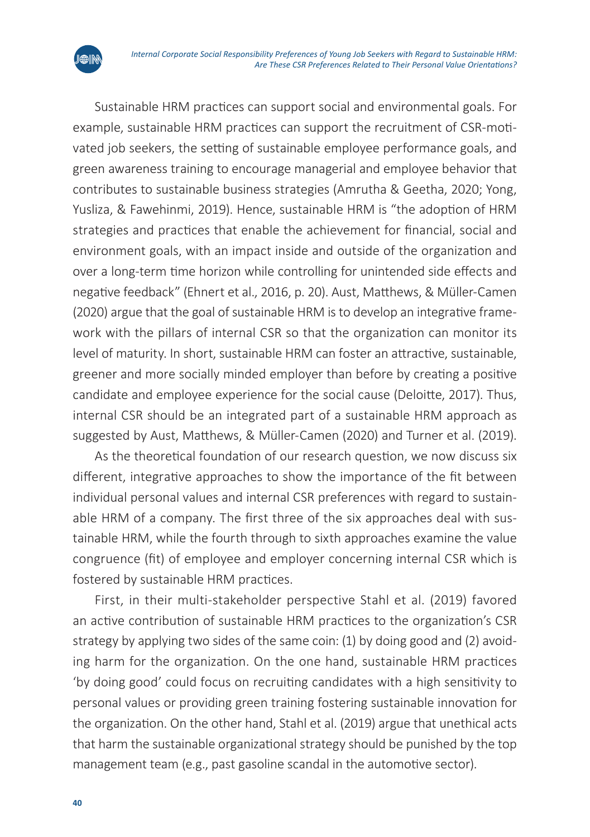

Sustainable HRM practices can support social and environmental goals. For example, sustainable HRM practices can support the recruitment of CSR-motivated job seekers, the setting of sustainable employee performance goals, and green awareness training to encourage managerial and employee behavior that contributes to sustainable business strategies (Amrutha & Geetha, 2020; Yong, Yusliza, & Fawehinmi, 2019). Hence, sustainable HRM is "the adoption of HRM strategies and practices that enable the achievement for financial, social and environment goals, with an impact inside and outside of the organization and over a long-term time horizon while controlling for unintended side effects and negative feedback" (Ehnert et al., 2016, p. 20). Aust, Matthews, & Müller-Camen (2020) argue that the goal of sustainable HRM is to develop an integrative framework with the pillars of internal CSR so that the organization can monitor its level of maturity. In short, sustainable HRM can foster an attractive, sustainable, greener and more socially minded employer than before by creating a positive candidate and employee experience for the social cause (Deloitte, 2017). Thus, internal CSR should be an integrated part of a sustainable HRM approach as suggested by Aust, Matthews, & Müller-Camen (2020) and Turner et al. (2019).

As the theoretical foundation of our research question, we now discuss six different, integrative approaches to show the importance of the fit between individual personal values and internal CSR preferences with regard to sustainable HRM of a company. The first three of the six approaches deal with sustainable HRM, while the fourth through to sixth approaches examine the value congruence (fit) of employee and employer concerning internal CSR which is fostered by sustainable HRM practices.

First, in their multi-stakeholder perspective Stahl et al. (2019) favored an active contribution of sustainable HRM practices to the organization's CSR strategy by applying two sides of the same coin: (1) by doing good and (2) avoiding harm for the organization. On the one hand, sustainable HRM practices 'by doing good' could focus on recruiting candidates with a high sensitivity to personal values or providing green training fostering sustainable innovation for the organization. On the other hand, Stahl et al. (2019) argue that unethical acts that harm the sustainable organizational strategy should be punished by the top management team (e.g., past gasoline scandal in the automotive sector).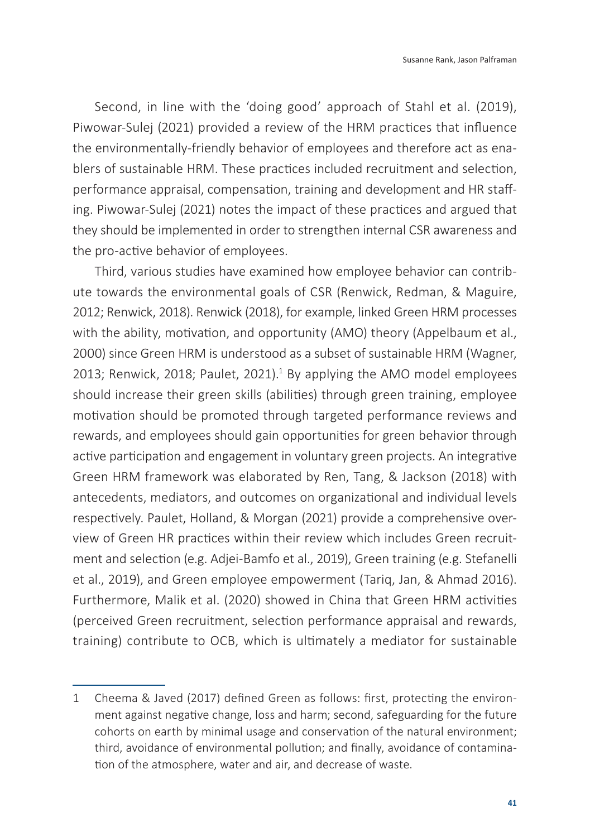Second, in line with the 'doing good' approach of Stahl et al. (2019), Piwowar-Sulej (2021) provided a review of the HRM practices that influence the environmentally-friendly behavior of employees and therefore act as enablers of sustainable HRM. These practices included recruitment and selection, performance appraisal, compensation, training and development and HR staffing. Piwowar-Sulej (2021) notes the impact of these practices and argued that they should be implemented in order to strengthen internal CSR awareness and the pro-active behavior of employees.

Third, various studies have examined how employee behavior can contribute towards the environmental goals of CSR (Renwick, Redman, & Maguire, 2012; Renwick, 2018). Renwick (2018), for example, linked Green HRM processes with the ability, motivation, and opportunity (AMO) theory (Appelbaum et al., 2000) since Green HRM is understood as a subset of sustainable HRM (Wagner, 2013; Renwick, 2018; Paulet, 2021).<sup>1</sup> By applying the AMO model employees should increase their green skills (abilities) through green training, employee motivation should be promoted through targeted performance reviews and rewards, and employees should gain opportunities for green behavior through active participation and engagement in voluntary green projects. An integrative Green HRM framework was elaborated by Ren, Tang, & Jackson (2018) with antecedents, mediators, and outcomes on organizational and individual levels respectively. Paulet, Holland, & Morgan (2021) provide a comprehensive overview of Green HR practices within their review which includes Green recruitment and selection (e.g. Adjei-Bamfo et al., 2019), Green training (e.g. Stefanelli et al., 2019), and Green employee empowerment (Tariq, Jan, & Ahmad 2016). Furthermore, Malik et al. (2020) showed in China that Green HRM activities (perceived Green recruitment, selection performance appraisal and rewards, training) contribute to OCB, which is ultimately a mediator for sustainable

<sup>1</sup> Cheema & Javed (2017) defined Green as follows: first, protecting the environment against negative change, loss and harm; second, safeguarding for the future cohorts on earth by minimal usage and conservation of the natural environment; third, avoidance of environmental pollution; and finally, avoidance of contamination of the atmosphere, water and air, and decrease of waste.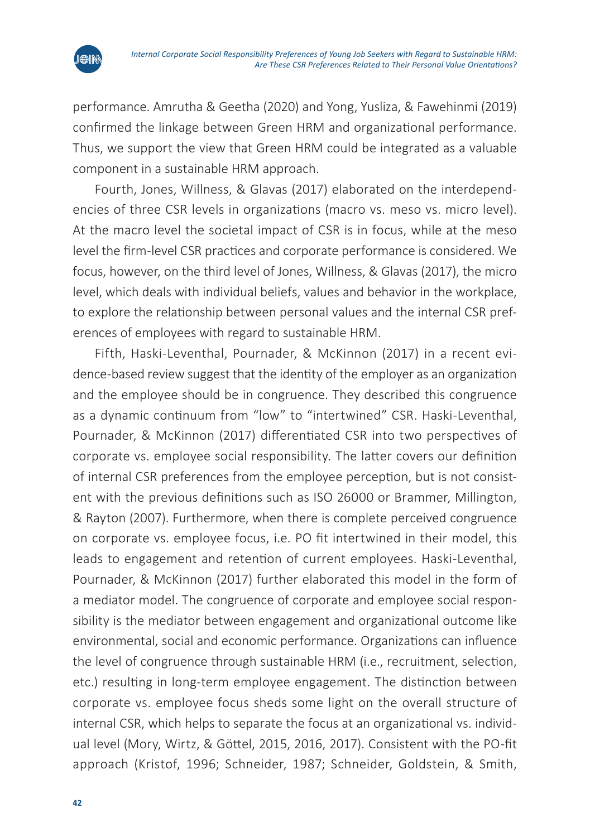

performance. Amrutha & Geetha (2020) and Yong, Yusliza, & Fawehinmi (2019) confirmed the linkage between Green HRM and organizational performance. Thus, we support the view that Green HRM could be integrated as a valuable component in a sustainable HRM approach.

Fourth, Jones, Willness, & Glavas (2017) elaborated on the interdependencies of three CSR levels in organizations (macro vs. meso vs. micro level). At the macro level the societal impact of CSR is in focus, while at the meso level the firm-level CSR practices and corporate performance is considered. We focus, however, on the third level of Jones, Willness, & Glavas (2017), the micro level, which deals with individual beliefs, values and behavior in the workplace, to explore the relationship between personal values and the internal CSR preferences of employees with regard to sustainable HRM.

Fifth, Haski-Leventhal, Pournader, & McKinnon (2017) in a recent evidence-based review suggest that the identity of the employer as an organization and the employee should be in congruence. They described this congruence as a dynamic continuum from "low" to "intertwined" CSR. Haski-Leventhal, Pournader, & McKinnon (2017) differentiated CSR into two perspectives of corporate vs. employee social responsibility. The latter covers our definition of internal CSR preferences from the employee perception, but is not consistent with the previous definitions such as ISO 26000 or Brammer, Millington, & Rayton (2007). Furthermore, when there is complete perceived congruence on corporate vs. employee focus, i.e. PO fit intertwined in their model, this leads to engagement and retention of current employees. Haski-Leventhal, Pournader, & McKinnon (2017) further elaborated this model in the form of a mediator model. The congruence of corporate and employee social responsibility is the mediator between engagement and organizational outcome like environmental, social and economic performance. Organizations can influence the level of congruence through sustainable HRM (i.e., recruitment, selection, etc.) resulting in long-term employee engagement. The distinction between corporate vs. employee focus sheds some light on the overall structure of internal CSR, which helps to separate the focus at an organizational vs. individual level (Mory, Wirtz, & Göttel, 2015, 2016, 2017). Consistent with the PO-fit approach (Kristof, 1996; Schneider, 1987; Schneider, Goldstein, & Smith,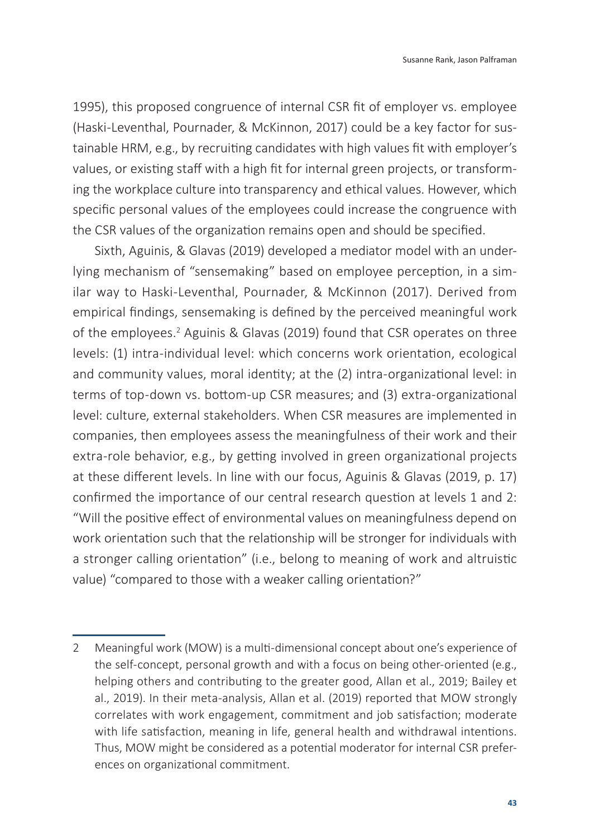1995), this proposed congruence of internal CSR fit of employer vs. employee (Haski-Leventhal, Pournader, & McKinnon, 2017) could be a key factor for sustainable HRM, e.g., by recruiting candidates with high values fit with employer's values, or existing staff with a high fit for internal green projects, or transforming the workplace culture into transparency and ethical values. However, which specific personal values of the employees could increase the congruence with the CSR values of the organization remains open and should be specified.

Sixth, Aguinis, & Glavas (2019) developed a mediator model with an underlying mechanism of "sensemaking" based on employee perception, in a similar way to Haski-Leventhal, Pournader, & McKinnon (2017). Derived from empirical findings, sensemaking is defined by the perceived meaningful work of the employees.<sup>2</sup> Aguinis & Glavas (2019) found that CSR operates on three levels: (1) intra-individual level: which concerns work orientation, ecological and community values, moral identity; at the (2) intra-organizational level: in terms of top-down vs. bottom-up CSR measures; and (3) extra-organizational level: culture, external stakeholders. When CSR measures are implemented in companies, then employees assess the meaningfulness of their work and their extra-role behavior, e.g., by getting involved in green organizational projects at these different levels. In line with our focus, Aguinis & Glavas (2019, p. 17) confirmed the importance of our central research question at levels 1 and 2: "Will the positive effect of environmental values on meaningfulness depend on work orientation such that the relationship will be stronger for individuals with a stronger calling orientation" (i.e., belong to meaning of work and altruistic value) "compared to those with a weaker calling orientation?"

<sup>2</sup> Meaningful work (MOW) is a multi-dimensional concept about one's experience of the self-concept, personal growth and with a focus on being other-oriented (e.g., helping others and contributing to the greater good, Allan et al., 2019; Bailey et al., 2019). In their meta-analysis, Allan et al. (2019) reported that MOW strongly correlates with work engagement, commitment and job satisfaction; moderate with life satisfaction, meaning in life, general health and withdrawal intentions. Thus, MOW might be considered as a potential moderator for internal CSR preferences on organizational commitment.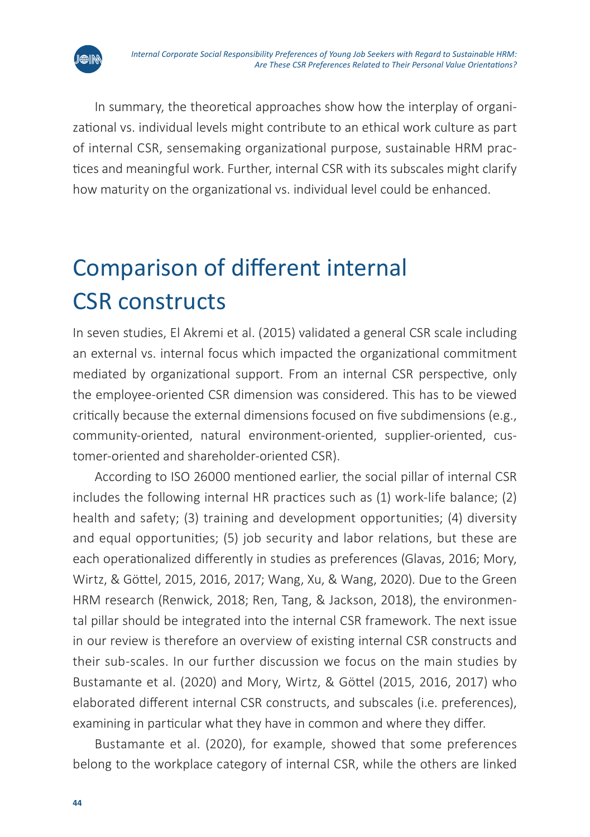

In summary, the theoretical approaches show how the interplay of organizational vs. individual levels might contribute to an ethical work culture as part of internal CSR, sensemaking organizational purpose, sustainable HRM practices and meaningful work. Further, internal CSR with its subscales might clarify how maturity on the organizational vs. individual level could be enhanced.

## Comparison of different internal CSR constructs

In seven studies, El Akremi et al. (2015) validated a general CSR scale including an external vs. internal focus which impacted the organizational commitment mediated by organizational support. From an internal CSR perspective, only the employee-oriented CSR dimension was considered. This has to be viewed critically because the external dimensions focused on five subdimensions (e.g., community-oriented, natural environment-oriented, supplier-oriented, customer-oriented and shareholder-oriented CSR).

According to ISO 26000 mentioned earlier, the social pillar of internal CSR includes the following internal HR practices such as (1) work-life balance; (2) health and safety; (3) training and development opportunities; (4) diversity and equal opportunities; (5) job security and labor relations, but these are each operationalized differently in studies as preferences (Glavas, 2016; Mory, Wirtz, & Göttel, 2015, 2016, 2017; Wang, Xu, & Wang, 2020). Due to the Green HRM research (Renwick, 2018; Ren, Tang, & Jackson, 2018), the environmental pillar should be integrated into the internal CSR framework. The next issue in our review is therefore an overview of existing internal CSR constructs and their sub-scales. In our further discussion we focus on the main studies by Bustamante et al. (2020) and Mory, Wirtz, & Göttel (2015, 2016, 2017) who elaborated different internal CSR constructs, and subscales (i.e. preferences), examining in particular what they have in common and where they differ.

Bustamante et al. (2020), for example, showed that some preferences belong to the workplace category of internal CSR, while the others are linked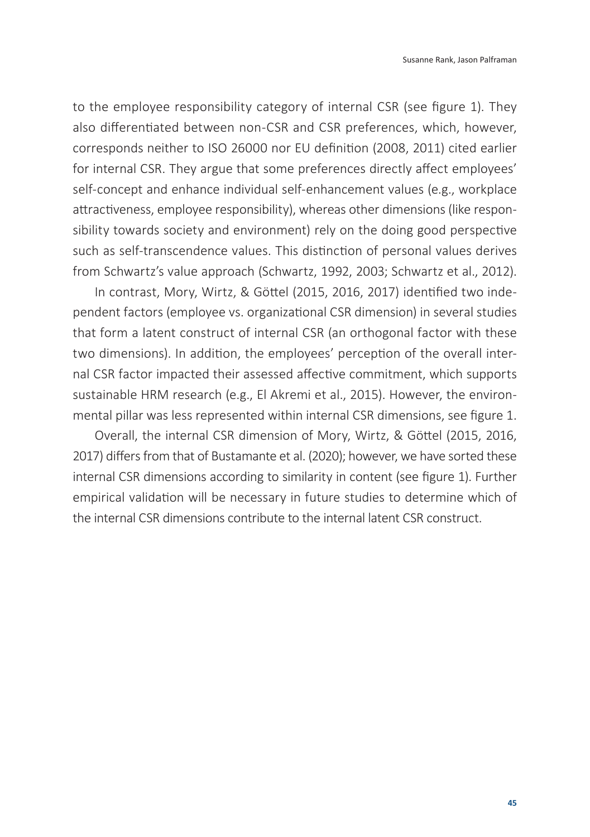to the employee responsibility category of internal CSR (see figure 1). They also differentiated between non-CSR and CSR preferences, which, however, corresponds neither to ISO 26000 nor EU definition (2008, 2011) cited earlier for internal CSR. They argue that some preferences directly affect employees' self-concept and enhance individual self-enhancement values (e.g., workplace attractiveness, employee responsibility), whereas other dimensions (like responsibility towards society and environment) rely on the doing good perspective such as self-transcendence values. This distinction of personal values derives from Schwartz's value approach (Schwartz, 1992, 2003; Schwartz et al., 2012).

In contrast, Mory, Wirtz, & Göttel (2015, 2016, 2017) identified two independent factors (employee vs. organizational CSR dimension) in several studies that form a latent construct of internal CSR (an orthogonal factor with these two dimensions). In addition, the employees' perception of the overall internal CSR factor impacted their assessed affective commitment, which supports sustainable HRM research (e.g., El Akremi et al., 2015). However, the environmental pillar was less represented within internal CSR dimensions, see figure 1.

Overall, the internal CSR dimension of Mory, Wirtz, & Göttel (2015, 2016, 2017) differs from that of Bustamante et al. (2020); however, we have sorted these internal CSR dimensions according to similarity in content (see figure 1). Further empirical validation will be necessary in future studies to determine which of the internal CSR dimensions contribute to the internal latent CSR construct.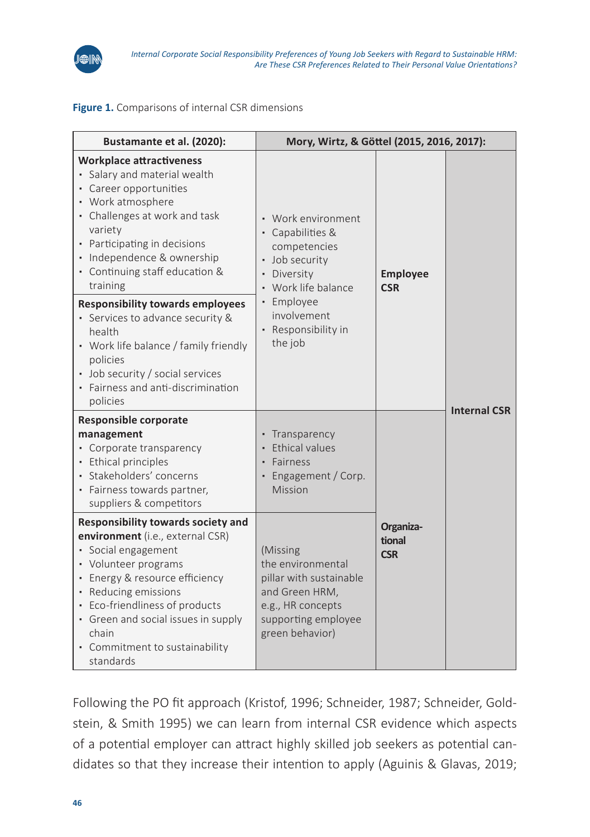

#### **Figure 1.** Comparisons of internal CSR dimensions

| Bustamante et al. (2020):                                                                                                                                                                                                                                                                                                                                       | Mory, Wirtz, & Göttel (2015, 2016, 2017):                                                                                                                          |                                   |                     |
|-----------------------------------------------------------------------------------------------------------------------------------------------------------------------------------------------------------------------------------------------------------------------------------------------------------------------------------------------------------------|--------------------------------------------------------------------------------------------------------------------------------------------------------------------|-----------------------------------|---------------------|
| <b>Workplace attractiveness</b><br>· Salary and material wealth<br>• Career opportunities<br>• Work atmosphere<br>• Challenges at work and task<br>variety<br>• Participating in decisions<br>· Independence & ownership<br>• Continuing staff education &<br>training<br><b>Responsibility towards employees</b><br>• Services to advance security &<br>health | • Work environment<br>• Capabilities &<br>competencies<br>· Job security<br>· Diversity<br>• Work life balance<br>· Employee<br>involvement<br>• Responsibility in | <b>Employee</b><br><b>CSR</b>     | <b>Internal CSR</b> |
| • Work life balance / family friendly<br>policies<br>• Job security / social services<br>· Fairness and anti-discrimination<br>policies                                                                                                                                                                                                                         | the job                                                                                                                                                            |                                   |                     |
| <b>Responsible corporate</b><br>management<br>• Corporate transparency<br>· Ethical principles<br>· Stakeholders' concerns<br>· Fairness towards partner,<br>suppliers & competitors                                                                                                                                                                            | • Transparency<br>• Ethical values<br>Fairness<br>• Engagement / Corp.<br>Mission                                                                                  | Organiza-<br>tional<br><b>CSR</b> |                     |
| Responsibility towards society and<br>environment (i.e., external CSR)<br>· Social engagement<br>• Volunteer programs<br>· Energy & resource efficiency<br>• Reducing emissions<br>• Eco-friendliness of products<br>• Green and social issues in supply<br>chain<br>• Commitment to sustainability<br>standards                                                | (Missing<br>the environmental<br>pillar with sustainable<br>and Green HRM,<br>e.g., HR concepts<br>supporting employee<br>green behavior)                          |                                   |                     |

Following the PO fit approach (Kristof, 1996; Schneider, 1987; Schneider, Goldstein, & Smith 1995) we can learn from internal CSR evidence which aspects of a potential employer can attract highly skilled job seekers as potential candidates so that they increase their intention to apply (Aguinis & Glavas, 2019;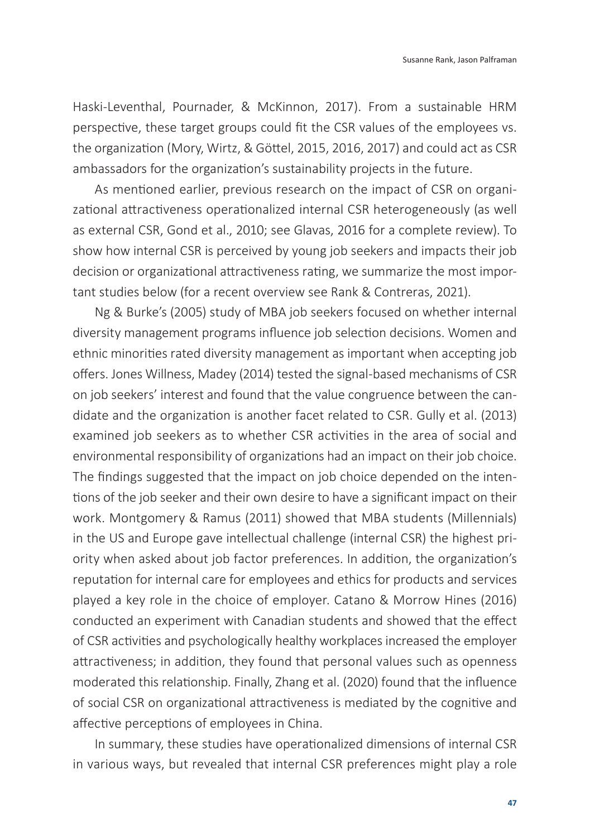Haski-Leventhal, Pournader, & McKinnon, 2017). From a sustainable HRM perspective, these target groups could fit the CSR values of the employees vs. the organization (Mory, Wirtz, & Göttel, 2015, 2016, 2017) and could act as CSR ambassadors for the organization's sustainability projects in the future.

As mentioned earlier, previous research on the impact of CSR on organizational attractiveness operationalized internal CSR heterogeneously (as well as external CSR, Gond et al., 2010; see Glavas, 2016 for a complete review). To show how internal CSR is perceived by young job seekers and impacts their job decision or organizational attractiveness rating, we summarize the most important studies below (for a recent overview see Rank & Contreras, 2021).

Ng & Burke's (2005) study of MBA job seekers focused on whether internal diversity management programs influence job selection decisions. Women and ethnic minorities rated diversity management as important when accepting job offers. Jones Willness, Madey (2014) tested the signal-based mechanisms of CSR on job seekers' interest and found that the value congruence between the candidate and the organization is another facet related to CSR. Gully et al. (2013) examined job seekers as to whether CSR activities in the area of social and environmental responsibility of organizations had an impact on their job choice. The findings suggested that the impact on job choice depended on the intentions of the job seeker and their own desire to have a significant impact on their work. Montgomery & Ramus (2011) showed that MBA students (Millennials) in the US and Europe gave intellectual challenge (internal CSR) the highest priority when asked about job factor preferences. In addition, the organization's reputation for internal care for employees and ethics for products and services played a key role in the choice of employer. Catano & Morrow Hines (2016) conducted an experiment with Canadian students and showed that the effect of CSR activities and psychologically healthy workplaces increased the employer attractiveness; in addition, they found that personal values such as openness moderated this relationship. Finally, Zhang et al. (2020) found that the influence of social CSR on organizational attractiveness is mediated by the cognitive and affective perceptions of employees in China.

In summary, these studies have operationalized dimensions of internal CSR in various ways, but revealed that internal CSR preferences might play a role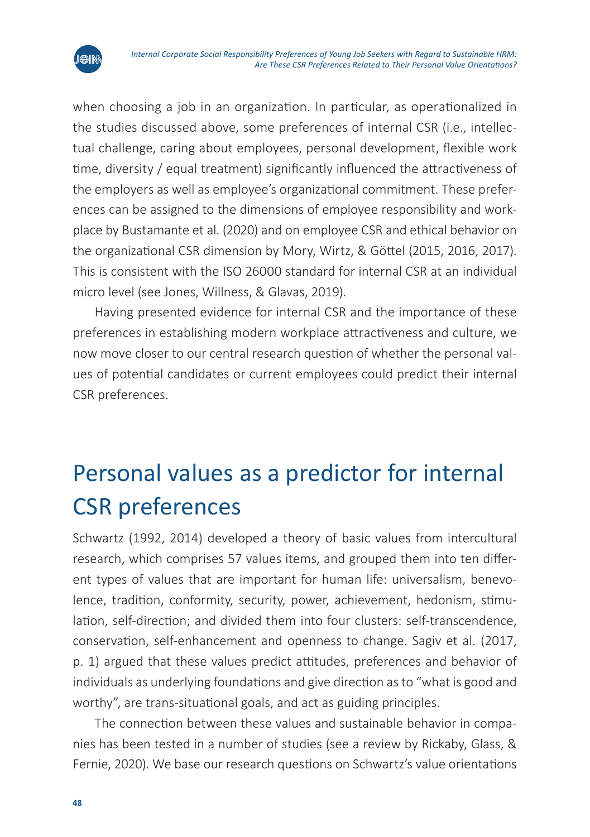



Having presented evidence for internal CSR and the importance of these preferences in establishing modern workplace attractiveness and culture, we now move closer to our central research question of whether the personal values of potential candidates or current employees could predict their internal CSR preferences.

### Personal values as a predictor for internal CSR preferences

Schwartz (1992, 2014) developed a theory of basic values from intercultural research, which comprises 57 values items, and grouped them into ten different types of values that are important for human life: universalism, benevolence, tradition, conformity, security, power, achievement, hedonism, stimulation, self-direction; and divided them into four clusters: self-transcendence, conservation, self-enhancement and openness to change. Sagiv et al. (2017, p. 1) argued that these values predict attitudes, preferences and behavior of individuals as underlying foundations and give direction as to "what is good and worthy", are trans-situational goals, and act as guiding principles.

The connection between these values and sustainable behavior in companies has been tested in a number of studies (see a review by Rickaby, Glass, & Fernie, 2020). We base our research questions on Schwartz's value orientations

**JEDIN**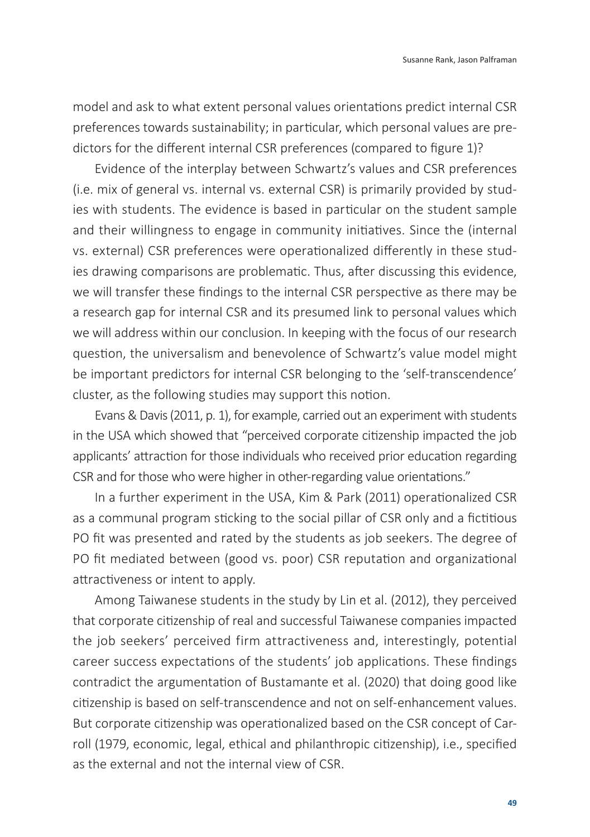model and ask to what extent personal values orientations predict internal CSR preferences towards sustainability; in particular, which personal values are predictors for the different internal CSR preferences (compared to figure 1)?

Evidence of the interplay between Schwartz's values and CSR preferences (i.e. mix of general vs. internal vs. external CSR) is primarily provided by studies with students. The evidence is based in particular on the student sample and their willingness to engage in community initiatives. Since the (internal vs. external) CSR preferences were operationalized differently in these studies drawing comparisons are problematic. Thus, after discussing this evidence, we will transfer these findings to the internal CSR perspective as there may be a research gap for internal CSR and its presumed link to personal values which we will address within our conclusion. In keeping with the focus of our research question, the universalism and benevolence of Schwartz's value model might be important predictors for internal CSR belonging to the 'self-transcendence' cluster, as the following studies may support this notion.

Evans & Davis (2011, p. 1), for example, carried out an experiment with students in the USA which showed that "perceived corporate citizenship impacted the job applicants' attraction for those individuals who received prior education regarding CSR and for those who were higher in other-regarding value orientations."

In a further experiment in the USA, Kim & Park (2011) operationalized CSR as a communal program sticking to the social pillar of CSR only and a fictitious PO fit was presented and rated by the students as job seekers. The degree of PO fit mediated between (good vs. poor) CSR reputation and organizational attractiveness or intent to apply.

Among Taiwanese students in the study by Lin et al. (2012), they perceived that corporate citizenship of real and successful Taiwanese companies impacted the job seekers' perceived firm attractiveness and, interestingly, potential career success expectations of the students' job applications. These findings contradict the argumentation of Bustamante et al. (2020) that doing good like citizenship is based on self-transcendence and not on self-enhancement values. But corporate citizenship was operationalized based on the CSR concept of Carroll (1979, economic, legal, ethical and philanthropic citizenship), i.e., specified as the external and not the internal view of CSR.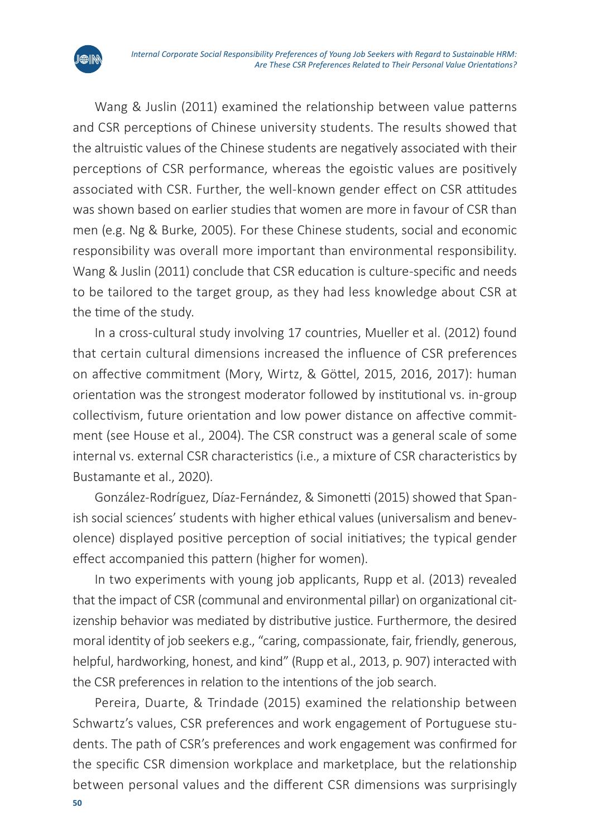

Wang & Juslin (2011) examined the relationship between value patterns and CSR perceptions of Chinese university students. The results showed that the altruistic values of the Chinese students are negatively associated with their perceptions of CSR performance, whereas the egoistic values are positively associated with CSR. Further, the well-known gender effect on CSR attitudes was shown based on earlier studies that women are more in favour of CSR than men (e.g. Ng & Burke, 2005). For these Chinese students, social and economic responsibility was overall more important than environmental responsibility. Wang & Juslin (2011) conclude that CSR education is culture-specific and needs to be tailored to the target group, as they had less knowledge about CSR at the time of the study.

In a cross-cultural study involving 17 countries, Mueller et al. (2012) found that certain cultural dimensions increased the influence of CSR preferences on affective commitment (Mory, Wirtz, & Göttel, 2015, 2016, 2017): human orientation was the strongest moderator followed by institutional vs. in-group collectivism, future orientation and low power distance on affective commitment (see House et al., 2004). The CSR construct was a general scale of some internal vs. external CSR characteristics (i.e., a mixture of CSR characteristics by Bustamante et al., 2020).

González-Rodríguez, Díaz-Fernández, & Simonetti (2015) showed that Spanish social sciences' students with higher ethical values (universalism and benevolence) displayed positive perception of social initiatives; the typical gender effect accompanied this pattern (higher for women).

In two experiments with young job applicants, Rupp et al. (2013) revealed that the impact of CSR (communal and environmental pillar) on organizational citizenship behavior was mediated by distributive justice. Furthermore, the desired moral identity of job seekers e.g., "caring, compassionate, fair, friendly, generous, helpful, hardworking, honest, and kind" (Rupp et al., 2013, p. 907) interacted with the CSR preferences in relation to the intentions of the job search.

Pereira, Duarte, & Trindade (2015) examined the relationship between Schwartz's values, CSR preferences and work engagement of Portuguese students. The path of CSR's preferences and work engagement was confirmed for the specific CSR dimension workplace and marketplace, but the relationship between personal values and the different CSR dimensions was surprisingly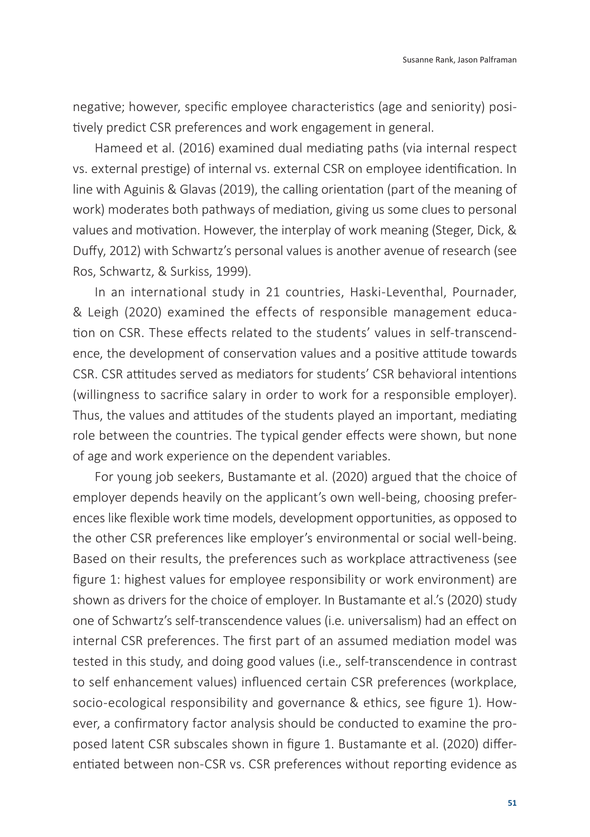negative; however, specific employee characteristics (age and seniority) positively predict CSR preferences and work engagement in general.

Hameed et al. (2016) examined dual mediating paths (via internal respect vs. external prestige) of internal vs. external CSR on employee identification. In line with Aguinis & Glavas (2019), the calling orientation (part of the meaning of work) moderates both pathways of mediation, giving us some clues to personal values and motivation. However, the interplay of work meaning (Steger, Dick, & Duffy, 2012) with Schwartz's personal values is another avenue of research (see Ros, Schwartz, & Surkiss, 1999).

In an international study in 21 countries, Haski-Leventhal, Pournader, & Leigh (2020) examined the effects of responsible management education on CSR. These effects related to the students' values in self-transcendence, the development of conservation values and a positive attitude towards CSR. CSR attitudes served as mediators for students' CSR behavioral intentions (willingness to sacrifice salary in order to work for a responsible employer). Thus, the values and attitudes of the students played an important, mediating role between the countries. The typical gender effects were shown, but none of age and work experience on the dependent variables.

For young job seekers, Bustamante et al. (2020) argued that the choice of employer depends heavily on the applicant's own well-being, choosing preferences like flexible work time models, development opportunities, as opposed to the other CSR preferences like employer's environmental or social well-being. Based on their results, the preferences such as workplace attractiveness (see figure 1: highest values for employee responsibility or work environment) are shown as drivers for the choice of employer. In Bustamante et al.'s (2020) study one of Schwartz's self-transcendence values (i.e. universalism) had an effect on internal CSR preferences. The first part of an assumed mediation model was tested in this study, and doing good values (i.e., self-transcendence in contrast to self enhancement values) influenced certain CSR preferences (workplace, socio-ecological responsibility and governance & ethics, see figure 1). However, a confirmatory factor analysis should be conducted to examine the proposed latent CSR subscales shown in figure 1. Bustamante et al. (2020) differentiated between non-CSR vs. CSR preferences without reporting evidence as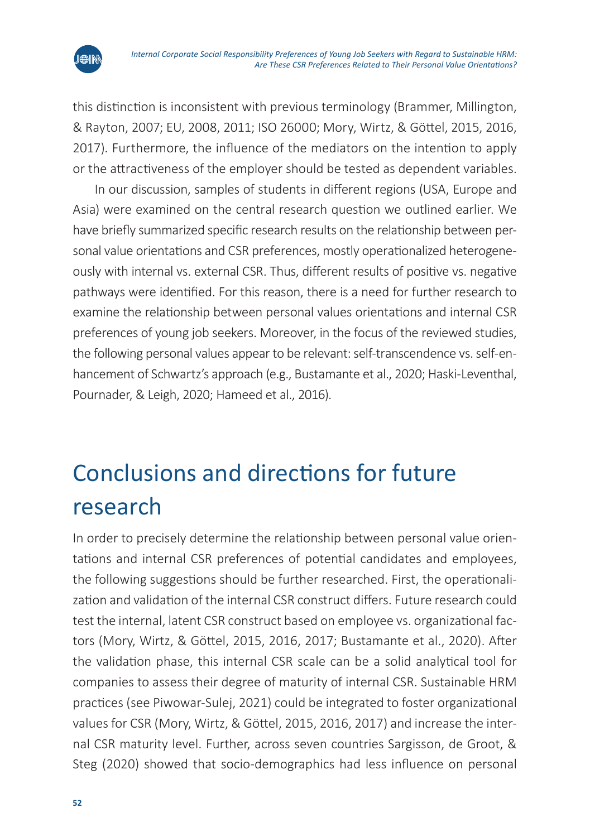

this distinction is inconsistent with previous terminology (Brammer, Millington, & Rayton, 2007; EU, 2008, 2011; ISO 26000; Mory, Wirtz, & Göttel, 2015, 2016, 2017). Furthermore, the influence of the mediators on the intention to apply or the attractiveness of the employer should be tested as dependent variables.

In our discussion, samples of students in different regions (USA, Europe and Asia) were examined on the central research question we outlined earlier. We have briefly summarized specific research results on the relationship between personal value orientations and CSR preferences, mostly operationalized heterogeneously with internal vs. external CSR. Thus, different results of positive vs. negative pathways were identified. For this reason, there is a need for further research to examine the relationship between personal values orientations and internal CSR preferences of young job seekers. Moreover, in the focus of the reviewed studies, the following personal values appear to be relevant: self-transcendence vs. self-enhancement of Schwartz's approach (e.g., Bustamante et al., 2020; Haski-Leventhal, Pournader, & Leigh, 2020; Hameed et al., 2016).

## Conclusions and directions for future research

In order to precisely determine the relationship between personal value orientations and internal CSR preferences of potential candidates and employees, the following suggestions should be further researched. First, the operationalization and validation of the internal CSR construct differs. Future research could test the internal, latent CSR construct based on employee vs. organizational factors (Mory, Wirtz, & Göttel, 2015, 2016, 2017; Bustamante et al., 2020). After the validation phase, this internal CSR scale can be a solid analytical tool for companies to assess their degree of maturity of internal CSR. Sustainable HRM practices (see Piwowar-Sulej, 2021) could be integrated to foster organizational values for CSR (Mory, Wirtz, & Göttel, 2015, 2016, 2017) and increase the internal CSR maturity level. Further, across seven countries Sargisson, de Groot, & Steg (2020) showed that socio-demographics had less influence on personal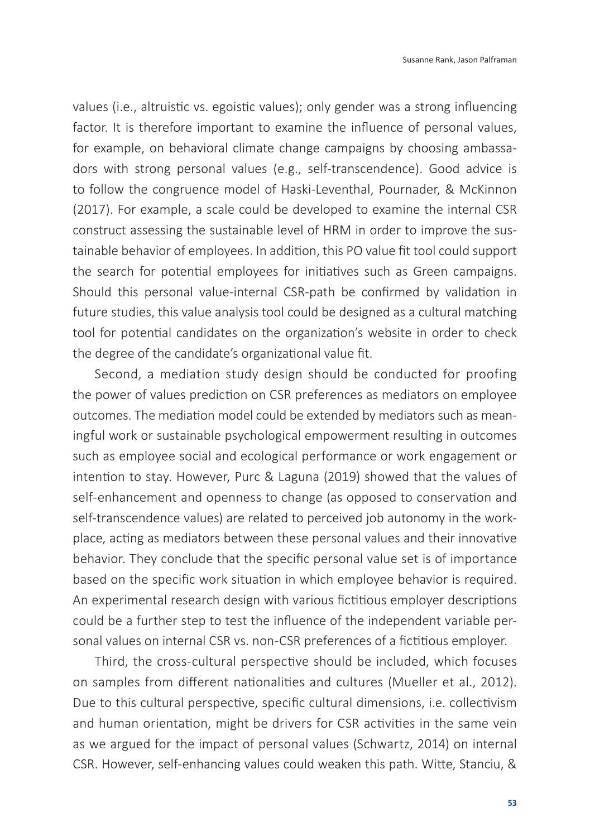values (i.e., altruistic vs. egoistic values); only gender was a strong influencing factor. It is therefore important to examine the influence of personal values, for example, on behavioral climate change campaigns by choosing ambassadors with strong personal values (e.g., self-transcendence). Good advice is to follow the congruence model of Haski-Leventhal, Pournader, & McKinnon (2017). For example, a scale could be developed to examine the internal CSR construct assessing the sustainable level of HRM in order to improve the sustainable behavior of employees. In addition, this PO value fit tool could support the search for potential employees for initiatives such as Green campaigns. Should this personal value-internal CSR-path be confirmed by validation in future studies, this value analysis tool could be designed as a cultural matching tool for potential candidates on the organization's website in order to check the degree of the candidate's organizational value fit.

Second, a mediation study design should be conducted for proofing the power of values prediction on CSR preferences as mediators on employee outcomes. The mediation model could be extended by mediators such as meaningful work or sustainable psychological empowerment resulting in outcomes such as employee social and ecological performance or work engagement or intention to stay. However, Purc & Laguna (2019) showed that the values of self-enhancement and openness to change (as opposed to conservation and self-transcendence values) are related to perceived job autonomy in the workplace, acting as mediators between these personal values and their innovative behavior. They conclude that the specific personal value set is of importance based on the specific work situation in which employee behavior is required. An experimental research design with various fictitious employer descriptions could be a further step to test the influence of the independent variable personal values on internal CSR vs. non-CSR preferences of a fictitious employer.

Third, the cross-cultural perspective should be included, which focuses on samples from different nationalities and cultures (Mueller et al., 2012). Due to this cultural perspective, specific cultural dimensions, i.e. collectivism and human orientation, might be drivers for CSR activities in the same vein as we argued for the impact of personal values (Schwartz, 2014) on internal CSR. However, self-enhancing values could weaken this path. Witte, Stanciu, &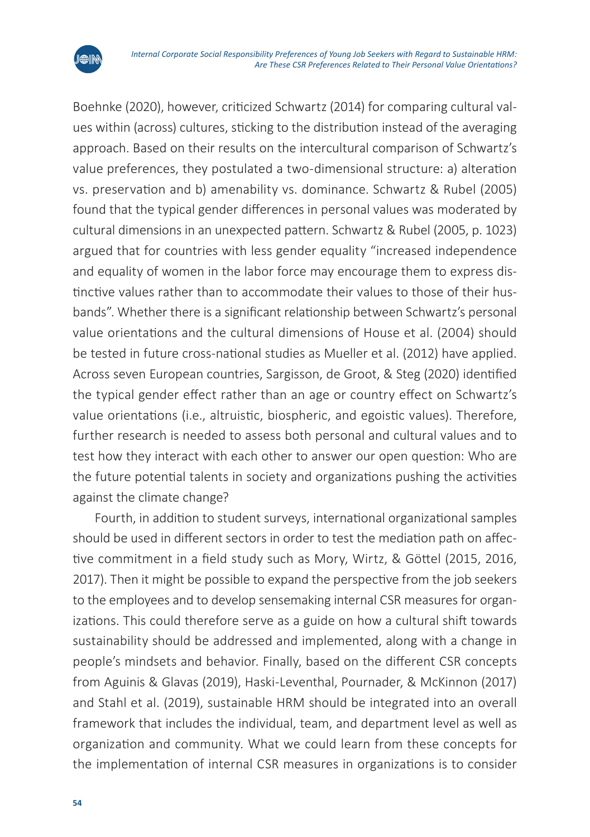

Boehnke (2020), however, criticized Schwartz (2014) for comparing cultural values within (across) cultures, sticking to the distribution instead of the averaging approach. Based on their results on the intercultural comparison of Schwartz's value preferences, they postulated a two-dimensional structure: a) alteration vs. preservation and b) amenability vs. dominance. Schwartz & Rubel (2005) found that the typical gender differences in personal values was moderated by cultural dimensions in an unexpected pattern. Schwartz & Rubel (2005, p. 1023) argued that for countries with less gender equality "increased independence and equality of women in the labor force may encourage them to express distinctive values rather than to accommodate their values to those of their husbands". Whether there is a significant relationship between Schwartz's personal value orientations and the cultural dimensions of House et al. (2004) should be tested in future cross-national studies as Mueller et al. (2012) have applied. Across seven European countries, Sargisson, de Groot, & Steg (2020) identified the typical gender effect rather than an age or country effect on Schwartz's value orientations (i.e., altruistic, biospheric, and egoistic values). Therefore, further research is needed to assess both personal and cultural values and to test how they interact with each other to answer our open question: Who are the future potential talents in society and organizations pushing the activities against the climate change?

Fourth, in addition to student surveys, international organizational samples should be used in different sectors in order to test the mediation path on affective commitment in a field study such as Mory, Wirtz, & Göttel (2015, 2016, 2017). Then it might be possible to expand the perspective from the job seekers to the employees and to develop sensemaking internal CSR measures for organizations. This could therefore serve as a guide on how a cultural shift towards sustainability should be addressed and implemented, along with a change in people's mindsets and behavior. Finally, based on the different CSR concepts from Aguinis & Glavas (2019), Haski-Leventhal, Pournader, & McKinnon (2017) and Stahl et al. (2019), sustainable HRM should be integrated into an overall framework that includes the individual, team, and department level as well as organization and community. What we could learn from these concepts for the implementation of internal CSR measures in organizations is to consider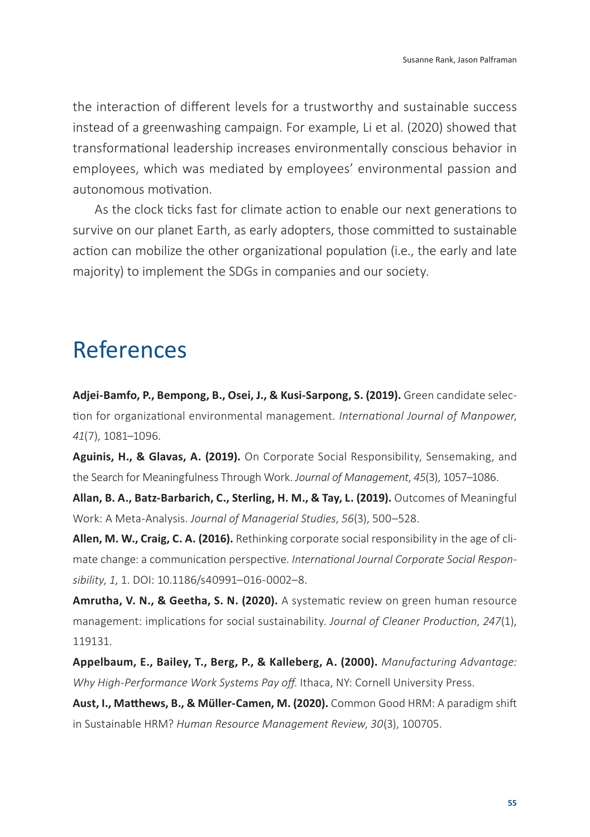the interaction of different levels for a trustworthy and sustainable success instead of a greenwashing campaign. For example, Li et al. (2020) showed that transformational leadership increases environmentally conscious behavior in employees, which was mediated by employees' environmental passion and autonomous motivation.

As the clock ticks fast for climate action to enable our next generations to survive on our planet Earth, as early adopters, those committed to sustainable action can mobilize the other organizational population (i.e., the early and late majority) to implement the SDGs in companies and our society.

### References

**Adjei-Bamfo, P., Bempong, B., Osei, J., & Kusi-Sarpong, S. (2019).** Green candidate selection for organizational environmental management. *International Journal of Manpower*, *41*(7), 1081–1096.

**Aguinis, H., & Glavas, A. (2019).** On Corporate Social Responsibility, Sensemaking, and the Search for Meaningfulness Through Work. *Journal of Management*, *45*(3), 1057–1086.

**Allan, B. A., Batz-Barbarich, C., Sterling, H. M., & Tay, L. (2019).** Outcomes of Meaningful Work: A Meta-Analysis. *Journal of Managerial Studies*, *56*(3), 500–528.

**Allen, M. W., Craig, C. A. (2016).** Rethinking corporate social responsibility in the age of climate change: a communication perspective. *International Journal Corporate Social Responsibility*, *1*, 1. DOI: 10.1186/s40991–016-0002–8.

**Amrutha, V. N., & Geetha, S. N. (2020).** A systematic review on green human resource management: implications for social sustainability. *Journal of Cleaner Production*, *247*(1), 119131.

**Appelbaum, E., Bailey, T., Berg, P., & Kalleberg, A. (2000).** *Manufacturing Advantage: Why High-Performance Work Systems Pay off*. Ithaca, NY: Cornell University Press.

**Aust, I., Matthews, B., & Müller-Camen, M. (2020).** Common Good HRM: A paradigm shift in Sustainable HRM? *Human Resource Management Review*, *30*(3), 100705.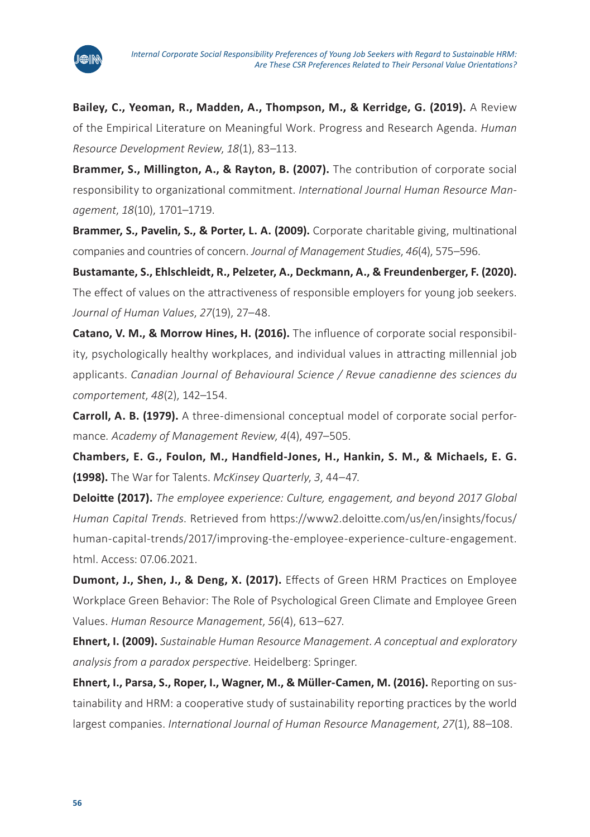

**Bailey, C., Yeoman, R., Madden, A., Thompson, M., & Kerridge, G. (2019).** A Review of the Empirical Literature on Meaningful Work. Progress and Research Agenda. *Human Resource Development Review*, *18*(1), 83–113.

**Brammer, S., Millington, A., & Rayton, B. (2007).** The contribution of corporate social responsibility to organizational commitment. *International Journal Human Resource Management*, *18*(10), 1701–1719.

**Brammer, S., Pavelin, S., & Porter, L. A. (2009).** Corporate charitable giving, multinational companies and countries of concern. *Journal of Management Studies*, *46*(4), 575–596.

**Bustamante, S., Ehlschleidt, R., Pelzeter, A., Deckmann, A., & Freundenberger, F. (2020).** The effect of values on the attractiveness of responsible employers for young job seekers. *Journal of Human Values*, *27*(19), 27–48.

**Catano, V. M., & Morrow Hines, H. (2016).** The influence of corporate social responsibility, psychologically healthy workplaces, and individual values in attracting millennial job applicants. *Canadian Journal of Behavioural Science / Revue canadienne des sciences du comportement*, *48*(2), 142–154.

**Carroll, A. B. (1979).** A three-dimensional conceptual model of corporate social performance*. Academy of Management Review*, *4*(4), 497–505.

**[Chambers](https://www.researchgate.net/scientific-contributions/EG-Chambers-2085692127?_sg%5B0%5D=Zs2vqu0elQrF2icebb_i8E9l8ovl2ZY1MxdABk0YSGkKaec61GEhmG4oD63b2wLRhaoEGvU.hOtOO6hYd5-gpgN5MYfrDOTbboV9-b0g5MArqcWYFzyq4qP2KYg7NMoA4zJoDGKfS-w_F2IYLVoCasWI720YUA.fIaql8_KTXNNMU-YQMt67Iypgd_irLT8d02rXk7C6H5TPESN4QSeRIB53RARIAhiBPgFYdLVLH0HFGk2l1zarg&_sg%5B1%5D=UqIZ1NNrcc4xxLzEbSGCKHh1fQi9achbMiLPKBln1YhL1o2Htr0c_s1Zdlf4gQSd_nORAGU.CVbquKUrlDSDYaZ9GNq0kkiwqceYafHiV4UeH3E0DB3wrwSpWBr019gWAiv41CZ54F3yQ7SKSoR9RvtgJBQEdA), E. G., [Foulon,](https://www.researchgate.net/profile/Mark-Foulon-2?_sg%5B0%5D=Zs2vqu0elQrF2icebb_i8E9l8ovl2ZY1MxdABk0YSGkKaec61GEhmG4oD63b2wLRhaoEGvU.hOtOO6hYd5-gpgN5MYfrDOTbboV9-b0g5MArqcWYFzyq4qP2KYg7NMoA4zJoDGKfS-w_F2IYLVoCasWI720YUA.fIaql8_KTXNNMU-YQMt67Iypgd_irLT8d02rXk7C6H5TPESN4QSeRIB53RARIAhiBPgFYdLVLH0HFGk2l1zarg&_sg%5B1%5D=UqIZ1NNrcc4xxLzEbSGCKHh1fQi9achbMiLPKBln1YhL1o2Htr0c_s1Zdlf4gQSd_nORAGU.CVbquKUrlDSDYaZ9GNq0kkiwqceYafHiV4UeH3E0DB3wrwSpWBr019gWAiv41CZ54F3yQ7SKSoR9RvtgJBQEdA) M., [Handfield-Jones](https://www.researchgate.net/profile/Helen-Handfield-Jones?_sg%5B0%5D=Zs2vqu0elQrF2icebb_i8E9l8ovl2ZY1MxdABk0YSGkKaec61GEhmG4oD63b2wLRhaoEGvU.hOtOO6hYd5-gpgN5MYfrDOTbboV9-b0g5MArqcWYFzyq4qP2KYg7NMoA4zJoDGKfS-w_F2IYLVoCasWI720YUA.fIaql8_KTXNNMU-YQMt67Iypgd_irLT8d02rXk7C6H5TPESN4QSeRIB53RARIAhiBPgFYdLVLH0HFGk2l1zarg&_sg%5B1%5D=UqIZ1NNrcc4xxLzEbSGCKHh1fQi9achbMiLPKBln1YhL1o2Htr0c_s1Zdlf4gQSd_nORAGU.CVbquKUrlDSDYaZ9GNq0kkiwqceYafHiV4UeH3E0DB3wrwSpWBr019gWAiv41CZ54F3yQ7SKSoR9RvtgJBQEdA), H., Hankin, S. M., & [Michaels](https://www.researchgate.net/scientific-contributions/Edward-G-Michaels-2085752143?_sg%5B0%5D=Zs2vqu0elQrF2icebb_i8E9l8ovl2ZY1MxdABk0YSGkKaec61GEhmG4oD63b2wLRhaoEGvU.hOtOO6hYd5-gpgN5MYfrDOTbboV9-b0g5MArqcWYFzyq4qP2KYg7NMoA4zJoDGKfS-w_F2IYLVoCasWI720YUA.fIaql8_KTXNNMU-YQMt67Iypgd_irLT8d02rXk7C6H5TPESN4QSeRIB53RARIAhiBPgFYdLVLH0HFGk2l1zarg&_sg%5B1%5D=UqIZ1NNrcc4xxLzEbSGCKHh1fQi9achbMiLPKBln1YhL1o2Htr0c_s1Zdlf4gQSd_nORAGU.CVbquKUrlDSDYaZ9GNq0kkiwqceYafHiV4UeH3E0DB3wrwSpWBr019gWAiv41CZ54F3yQ7SKSoR9RvtgJBQEdA), E. G. (1998).** The War for Talents. *McKinsey Quarterly*, *3*, 44–47.

**Deloitte (2017).** *The employee experience: Culture, engagement, and beyond 2017 Global Human Capital Trends*. Retrieved from [https://www2.deloitte.com/us/en/insights/focus/](https://www2.deloitte.com/us/en/insights/focus/human-capital-trends/2017/improving-the-employee-experience-culture-engagement.html) [human-capital-trends/2017/improving-the-employee-experience-culture-engagement.](https://www2.deloitte.com/us/en/insights/focus/human-capital-trends/2017/improving-the-employee-experience-culture-engagement.html) [html](https://www2.deloitte.com/us/en/insights/focus/human-capital-trends/2017/improving-the-employee-experience-culture-engagement.html). Access: 07.06.2021.

**Dumont, J., Shen, J., & Deng, X. (2017).** Effects of Green HRM Practices on Employee Workplace Green Behavior: The Role of Psychological Green Climate and Employee Green Values. *Human Resource Management*, *56*(4), 613–627.

**Ehnert, I. (2009).** *Sustainable Human Resource Management*. *A conceptual and exploratory analysis from a paradox perspective*. Heidelberg: Springer.

**Ehnert, I., Parsa, S., Roper, I., Wagner, M., & Müller-Camen, M. (2016).** Reporting on sustainability and HRM: a cooperative study of sustainability reporting practices by the world largest companies. *International Journal of Human Resource Management*, *27*(1), 88–108.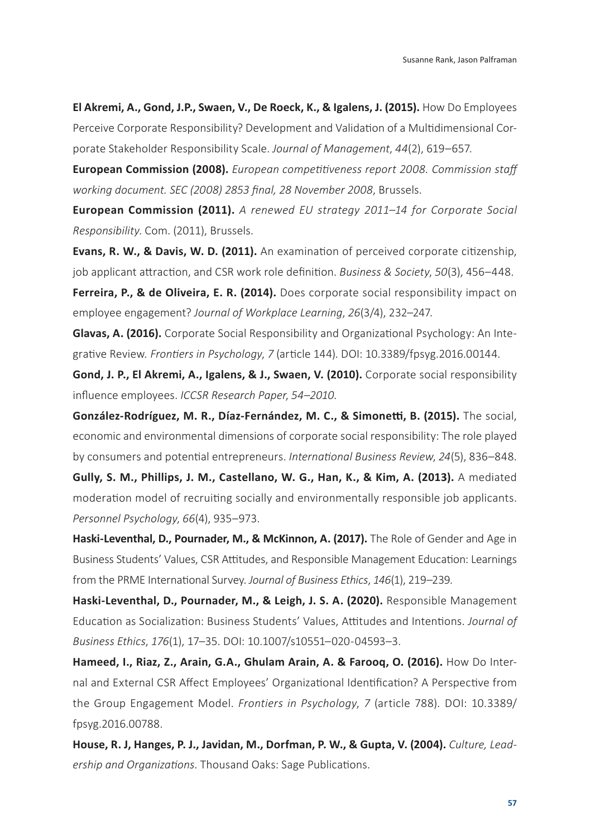**El Akremi, A., Gond, J.P., Swaen, V., De Roeck, K., & Igalens, J. (2015).** How Do Employees Perceive Corporate Responsibility? Development and Validation of a Multidimensional Corporate Stakeholder Responsibility Scale. *Journal of Management*, *44*(2), 619–657.

**European Commission (2008).** *European competitiveness report 2008. Commission staff working document. SEC (2008) 2853 final, 28 November 2008*, Brussels.

**European Commission (2011).** *A renewed EU strategy 2011–14 for Corporate Social Responsibility*. Com. (2011), Brussels.

**Evans, R. W., & Davis, W. D. (2011).** An examination of perceived corporate citizenship, job applicant attraction, and CSR work role definition. *Business & Society*, *50*(3), 456–448.

**Ferreira, P., & de Oliveira, E. R. (2014).** Does corporate social responsibility impact on employee engagement? *Journal of Workplace Learning*, *26*(3/4), 232–247.

**Glavas, A. (2016).** Corporate Social Responsibility and Organizational Psychology: An Integrative Review*. Frontiers in Psychology*, *7* (article 144). DOI: 10.3389/fpsyg.2016.00144.

**Gond, J. P., El Akremi, A., Igalens, & J., Swaen, V. (2010).** Corporate social responsibility influence employees. *ICCSR Research Paper*, *54–2010*.

**González-Rodríguez, M. R., Díaz-Fernández, M. C., & Simonetti, B. (2015).** The social, economic and environmental dimensions of corporate social responsibility: The role played by consumers and potential entrepreneurs. *International Business Review*, *24*(5), 836–848.

**Gully, S. M., Phillips, J. M., Castellano, W. G., Han, K., & Kim, A. (2013).** A mediated moderation model of recruiting socially and environmentally responsible job applicants. *Personnel Psychology*, *66*(4), 935–973.

**Haski-Leventhal, D., Pournader, M., & McKinnon, A. (2017).** The Role of Gender and Age in Business Students' Values, CSR Attitudes, and Responsible Management Education: Learnings from the PRME International Survey. *Journal of Business Ethics*, *146*(1), 219–239.

**Haski-Leventhal, D., Pournader, M., & Leigh, J. S. A. (2020).** Responsible Management Education as Socialization: Business Students' Values, Attitudes and Intentions. *Journal of Business Ethics*, *176*(1), 17–35. DOI: 10.1007/s10551–020-04593–3.

**Hameed, I., Riaz, Z., Arain, G.A., Ghulam Arain, A. & Farooq, O. (2016).** How Do Internal and External CSR Affect Employees' Organizational Identification? A Perspective from the Group Engagement Model. *Frontiers in Psychology*, *7* (article 788)*.* DOI: 10.3389/ fpsyg.2016.00788.

**House, R. J, Hanges, P. J., Javidan, M., Dorfman, P. W., & Gupta, V. (2004).** *Culture, Leadership and Organizations*. Thousand Oaks: Sage Publications.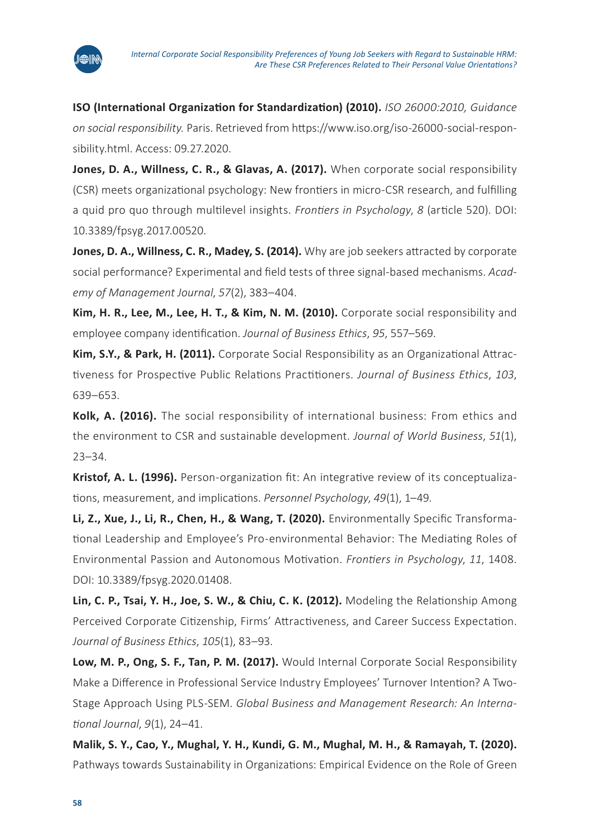

**ISO (International Organization for Standardization) (2010).** *ISO 26000:2010, Guidance on social responsibility.* Paris. Retrieved from [https://www.iso.org/iso-26000-social-respon](https://www.iso.org/iso-26000-social-responsibility.html)[sibility.html](https://www.iso.org/iso-26000-social-responsibility.html). Access: 09.27.2020.

**Jones, D. A., Willness, C. R., & Glavas, A. (2017).** When corporate social responsibility (CSR) meets organizational psychology: New frontiers in micro-CSR research, and fulfilling a quid pro quo through multilevel insights. *Frontiers in Psychology*, *8* (article 520). DOI: 10.3389/fpsyg.2017.00520.

Jones, D. A., Willness, C. R., Madey, S. (2014). Why are job seekers attracted by corporate social performance? Experimental and field tests of three signal-based mechanisms. *Academy of Management Journal*, *57*(2), 383–404.

**Kim, H. R., Lee, M., Lee, H. T., & Kim, N. M. (2010).** Corporate social responsibility and employee company identification. *Journal of Business Ethics*, *95*, 557–569.

**Kim, S.Y., & Park, H. (2011).** Corporate Social Responsibility as an Organizational Attractiveness for Prospective Public Relations Practitioners. *Journal of Business Ethics*, *103*, 639–653.

**Kolk, A. (2016).** The social responsibility of international business: From ethics and the environment to CSR and sustainable development. *Journal of World Business*, *51*(1), 23–34.

**Kristof, A. L. (1996).** Person-organization fit: An integrative review of its conceptualizations, measurement, and implications. *Personnel Psychology*, *49*(1), 1–49.

**Li, Z., Xue, J., Li, R., Chen, H., & Wang, T. (2020).** Environmentally Specific Transformational Leadership and Employee's Pro-environmental Behavior: The Mediating Roles of Environmental Passion and Autonomous Motivation. *Frontiers in Psychology*, *11*, 1408. DOI: 10.3389/fpsyg.2020.01408.

**Lin, C. P., Tsai, Y. H., Joe, S. W., & Chiu, C. K. (2012).** Modeling the Relationship Among Perceived Corporate Citizenship, Firms' Attractiveness, and Career Success Expectation. *Journal of Business Ethics*, *105*(1), 83–93.

**Low, M. P., Ong, S. F., Tan, P. M. (2017).** Would Internal Corporate Social Responsibility Make a Difference in Professional Service Industry Employees' Turnover Intention? A Two-Stage Approach Using PLS-SEM. *Global Business and Management Research: An International Journal*, *9*(1), 24–41.

**Malik, S. Y., Cao, Y., Mughal, Y. H., Kundi, G. M., Mughal, M. H., & Ramayah, T. (2020).** Pathways towards Sustainability in Organizations: Empirical Evidence on the Role of Green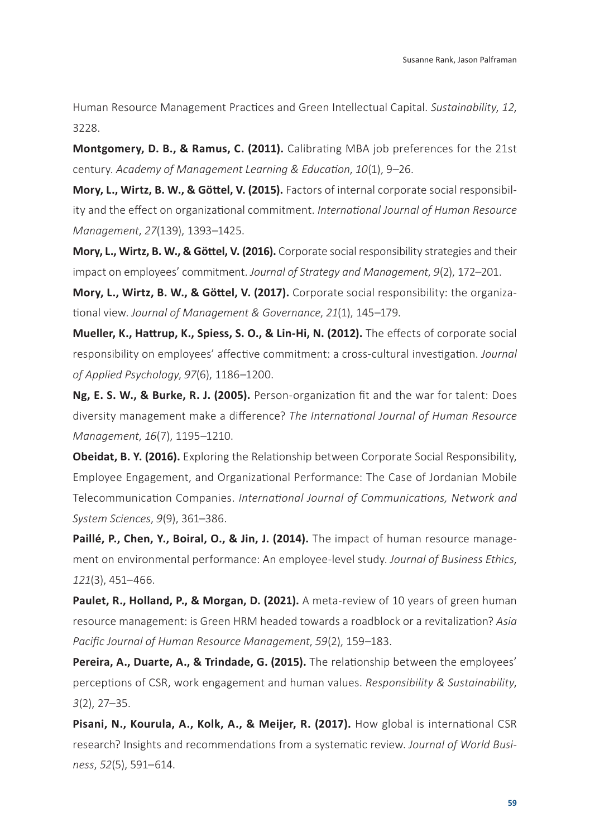Human Resource Management Practices and Green Intellectual Capital. *Sustainability*, *12*, 3228.

**Montgomery, D. B., & Ramus, C. (2011).** Calibrating MBA job preferences for the 21st century. *Academy of Management Learning & Education*, *10*(1), 9–26.

**Mory, L., Wirtz, B. W., & Göttel, V. (2015).** Factors of internal corporate social responsibility and the effect on organizational commitment. *International Journal of Human Resource Management*, *27*(139), 1393–1425.

**Mory, L., Wirtz, B. W., & Göttel, V. (2016).** Corporate social responsibility strategies and their impact on employees' commitment. *Journal of Strategy and Management*, *9*(2), 172–201.

**Mory, L., Wirtz, B. W., & Göttel, V. (2017).** Corporate social responsibility: the organizational view. *Journal of Management & Governance*, *21*(1), 145–179.

**Mueller, K., Hattrup, K., Spiess, S. O., & Lin-Hi, N. (2012).** The effects of corporate social responsibility on employees' affective commitment: a cross-cultural investigation. *Journal of Applied Psychology*, *97*(6), 1186–1200.

**Ng, E. S. W., & Burke, R. J. (2005).** Person-organization fit and the war for talent: Does diversity management make a difference? *The International Journal of Human Resource Management*, *16*(7), 1195–1210.

**Obeidat, B. Y. (2016).** Exploring the Relationship between Corporate Social Responsibility, Employee Engagement, and Organizational Performance: The Case of Jordanian Mobile Telecommunication Companies. *International Journal of Communications, Network and System Sciences*, *9*(9), 361–386.

**Paillé, P., Chen, Y., Boiral, O., & Jin, J. (2014).** The impact of human resource management on environmental performance: An employee-level study. *Journal of Business Ethics*, *121*(3), 451–466.

Paulet, R., Holland, P., & Morgan, D. (2021). A meta-review of 10 years of green human resource management: is Green HRM headed towards a roadblock or a revitalization? *Asia Pacific Journal of Human Resource Management*, *59*(2), 159–183.

**Pereira, A., Duarte, A., & Trindade, G. (2015).** The relationship between the employees' perceptions of CSR, work engagement and human values. *Responsibility & Sustainability*, *3*(2), 27–35.

**Pisani, N., Kourula, A., Kolk, A., & Meijer, R. (2017).** How global is international CSR research? Insights and recommendations from a systematic review. *Journal of World Business*, *52*(5), 591–614.

**59**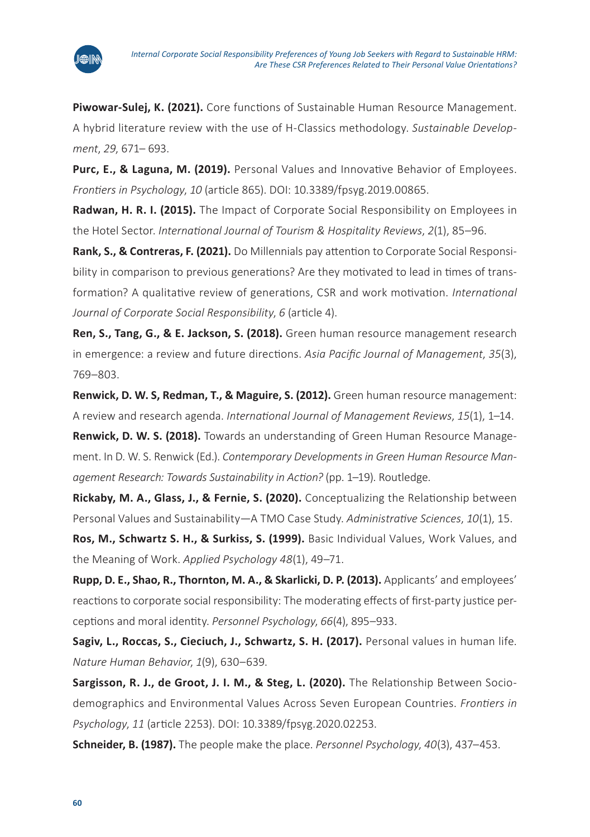

**Piwowar-Sulej, K. (2021).** Core functions of Sustainable Human Resource Management. A hybrid literature review with the use of H‐Classics methodology. *Sustainable Development*, *29*, 671– 693.

**Purc, E., & Laguna, M. (2019).** Personal Values and Innovative Behavior of Employees. *Frontiers in Psychology*, *10* (article 865). DOI: 10.3389/fpsyg.2019.00865.

**Radwan, H. R. I. (2015).** The Impact of Corporate Social Responsibility on Employees in the Hotel Sector. *International Journal of Tourism & Hospitality Reviews*, *2*(1), 85–96.

**Rank, S., & Contreras, F. (2021).** Do Millennials pay attention to Corporate Social Responsibility in comparison to previous generations? Are they motivated to lead in times of transformation? A qualitative review of generations, CSR and work motivation. *International Journal of Corporate Social Responsibility*, *6* (article 4).

**Ren, S., Tang, G., & E. Jackson, S. (2018).** Green human resource management research in emergence: a review and future directions. *Asia Pacific Journal of Management*, *35*(3), 769–803.

**Renwick, D. W. S, Redman, T., & Maguire, S. (2012).** Green human resource management: A review and research agenda. *International Journal of Management Reviews*, *15*(1), 1–14.

**Renwick, D. W. S. (2018).** Towards an understanding of Green Human Resource Management. In D. W. S. Renwick (Ed.). *Contemporary Developments in Green Human Resource Management Research: Towards Sustainability in Action?* (pp. 1–19). Routledge.

**Rickaby, M. A., Glass, J., & Fernie, S. (2020).** Conceptualizing the Relationship between Personal Values and Sustainability—A TMO Case Study. *Administrative Sciences*, *10*(1), 15.

**Ros, M., Schwartz S. H., & Surkiss, S. (1999).** Basic Individual Values, Work Values, and the Meaning of Work. *Applied Psychology 48*(1), 49–71.

**Rupp, D. E., Shao, R., Thornton, M. A., & Skarlicki, D. P. (2013).** Applicants' and employees' reactions to corporate social responsibility: The moderating effects of first-party justice perceptions and moral identity. *Personnel Psychology*, *66*(4), 895–933.

**Sagiv, L., Roccas, S., Cieciuch, J., Schwartz, S. H. (2017).** Personal values in human life. *Nature Human Behavior*, *1*(9), 630–639.

**Sargisson, R. J., de Groot, J. I. M., & Steg, L. (2020).** The Relationship Between Sociodemographics and Environmental Values Across Seven European Countries. *Frontiers in Psychology*, *11* (article 2253). DOI: 10.3389/fpsyg.2020.02253.

**Schneider, B. (1987).** The people make the place. *Personnel Psychology*, *40*(3), 437–453.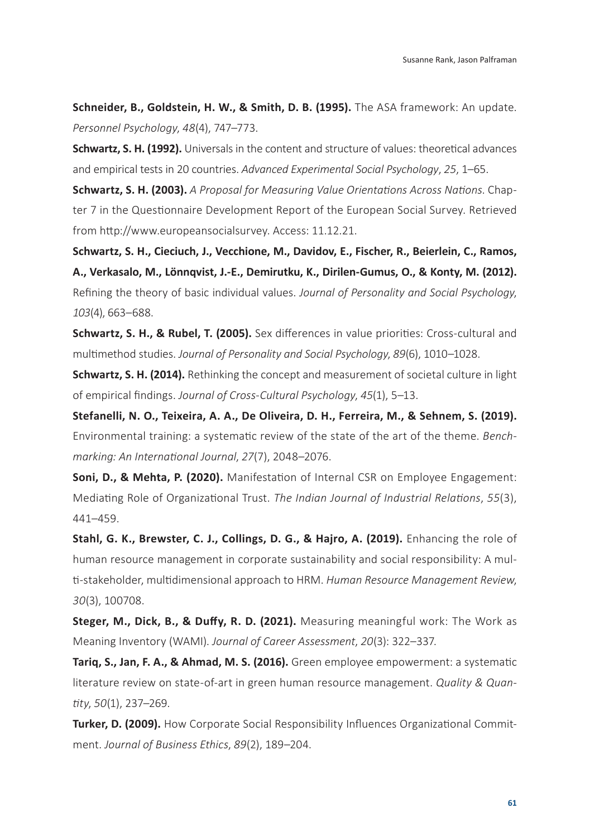**Schneider, B., Goldstein, H. W., & Smith, D. B. (1995).** The ASA framework: An update. *Personnel Psychology*, *48*(4), 747–773.

**Schwartz, S. H. (1992).** Universals in the content and structure of values: theoretical advances and empirical tests in 20 countries. *Advanced Experimental Social Psychology*, *25*, 1–65.

**Schwartz, S. H. (2003).** *A Proposal for Measuring Value Orientations Across Nations*. Chapter 7 in the Questionnaire Development Report of the European Social Survey. Retrieved from <http://www.europeansocialsurvey>. Access: 11.12.21.

**Schwartz, S. H., Cieciuch, J., Vecchione, M., Davidov, E., Fischer, R., Beierlein, C., Ramos, A., Verkasalo, M., Lönnqvist, J.-E., Demirutku, K., Dirilen-Gumus, O., & Konty, M. (2012).** Refining the theory of basic individual values. *Journal of Personality and Social Psychology*, *103*(4), 663–688.

**Schwartz, S. H., & Rubel, T. (2005).** Sex differences in value priorities: Cross-cultural and multimethod studies. *Journal of Personality and Social Psychology*, *89*(6), 1010–1028.

**Schwartz, S. H. (2014).** Rethinking the concept and measurement of societal culture in light of empirical findings. *Journal of Cross-Cultural Psychology*, *45*(1), 5–13.

**Stefanelli, N. O., Teixeira, A. A., De Oliveira, D. H., Ferreira, M., & Sehnem, S. (2019).** Environmental training: a systematic review of the state of the art of the theme. *Benchmarking: An International Journal*, *27*(7), 2048–2076.

**Soni, D., & Mehta, P. (2020).** Manifestation of Internal CSR on Employee Engagement: Mediating Role of Organizational Trust. *The Indian Journal of Industrial Relations*, *55*(3), 441–459.

**Stahl, G. K., Brewster, C. J., Collings, D. G., & Hajro, A. (2019).** Enhancing the role of human resource management in corporate sustainability and social responsibility: A multi-stakeholder, multidimensional approach to HRM. *Human Resource Management Review*, *30*(3), 100708.

**Steger, M., Dick, B., & Duffy, R. D. (2021).** Measuring meaningful work: The Work as Meaning Inventory (WAMI). *Journal of Career Assessment*, *20*(3): 322–337.

**Tariq, S., Jan, F. A., & Ahmad, M. S. (2016).** Green employee empowerment: a systematic literature review on state-of-art in green human resource management. *Quality & Quantity*, *50*(1), 237–269.

**Turker, D. (2009).** How Corporate Social Responsibility Influences Organizational Commitment. *Journal of Business Ethics*, *89*(2), 189–204.